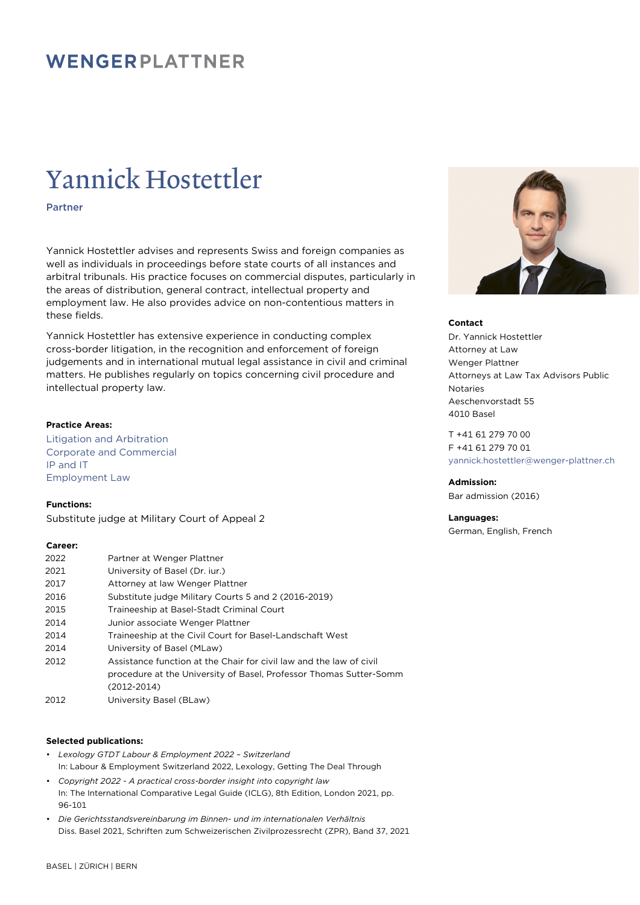# WENGERPLATTNER

# Yannick Hostettler

Partner

Yannick Hostettler advises and represents Swiss and foreign companies as well as individuals in proceedings before state courts of all instances and arbitral tribunals. His practice focuses on commercial disputes, particularly in the areas of distribution, general contract, intellectual property and employment law. He also provides advice on non-contentious matters in these fields.

Yannick Hostettler has extensive experience in conducting complex cross-border litigation, in the recognition and enforcement of foreign judgements and in international mutual legal assistance in civil and criminal matters. He publishes regularly on topics concerning civil procedure and intellectual property law.

#### **Practice Areas:**

Litigation and Arbitration Corporate and Commercial IP and IT Employment Law

**Functions:**

Substitute judge at Military Court of Appeal 2

## **Career:**

| 2022 | Partner at Wenger Plattner                                          |
|------|---------------------------------------------------------------------|
| 2021 | University of Basel (Dr. iur.)                                      |
| 2017 | Attorney at law Wenger Plattner                                     |
| 2016 | Substitute judge Military Courts 5 and 2 (2016-2019)                |
| 2015 | Traineeship at Basel-Stadt Criminal Court                           |
| 2014 | Junior associate Wenger Plattner                                    |
| 2014 | Traineeship at the Civil Court for Basel-Landschaft West            |
| 2014 | University of Basel (MLaw)                                          |
| 2012 | Assistance function at the Chair for civil law and the law of civil |
|      | procedure at the University of Basel, Professor Thomas Sutter-Somm  |
|      | $(2012 - 2014)$                                                     |
| 2012 | University Basel (BLaw)                                             |

## **Selected publications:**

- *Lexology GTDT Labour & Employment 2022 Switzerland* In: Labour & Employment Switzerland 2022, Lexology, Getting The Deal Through
- *Copyright 2022 A practical cross-border insight into copyright law* In: The International Comparative Legal Guide (ICLG), 8th Edition, London 2021, pp. 96-101
- *Die Gerichtsstandsvereinbarung im Binnen- und im internationalen Verhältnis* Diss. Basel 2021, Schriften zum Schweizerischen Zivilprozessrecht (ZPR), Band 37, 2021



### **Contact**

Dr. Yannick Hostettler Attorney at Law Wenger Plattner Attorneys at Law Tax Advisors Public Notaries Aeschenvorstadt 55 4010 Basel

T +41 61 279 70 00 F +41 61 279 70 01 [yannick.hostettler@wenger-plattner.ch](mailto:yannick.hostettler@wenger-plattner.ch)

**Admission:** Bar admission (2016)

German, English, French

**Languages:**

BASEL | ZÜRICH | BERN